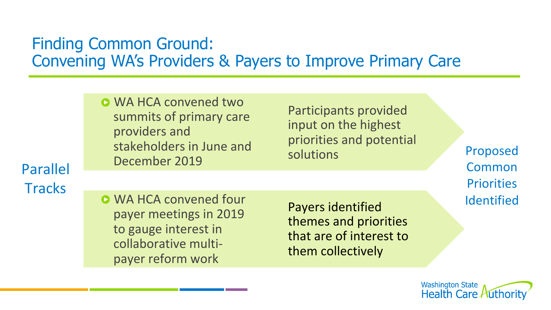## Finding Common Ground: Convening WA's Providers & Payers to Improve Primary Care

**O** WA HCA convened two summits of primary care providers and stakeholders in June and December 2019

Participants provided input on the highest priorities and potential solutions 

Proposed Common **Priorities** Identified 

Parallel **Tracks** 

**O** WA HCA convened four payer meetings in 2019 to gauge interest in collaborative multipayer reform work

Payers identified themes and priorities that are of interest to them collectively

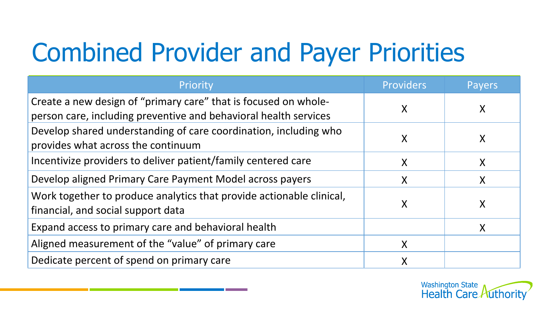# Combined Provider and Payer Priorities

| Priority                                                                                                                            | <b>Providers</b> | Payers |
|-------------------------------------------------------------------------------------------------------------------------------------|------------------|--------|
| Create a new design of "primary care" that is focused on whole-<br>person care, including preventive and behavioral health services |                  | X      |
| Develop shared understanding of care coordination, including who<br>provides what across the continuum                              | X                | X      |
| Incentivize providers to deliver patient/family centered care                                                                       | Χ                | X      |
| Develop aligned Primary Care Payment Model across payers                                                                            | Χ                | X      |
| Work together to produce analytics that provide actionable clinical,<br>financial, and social support data                          | X                | X      |
| Expand access to primary care and behavioral health                                                                                 |                  | X      |
| Aligned measurement of the "value" of primary care                                                                                  |                  |        |
| Dedicate percent of spend on primary care                                                                                           |                  |        |